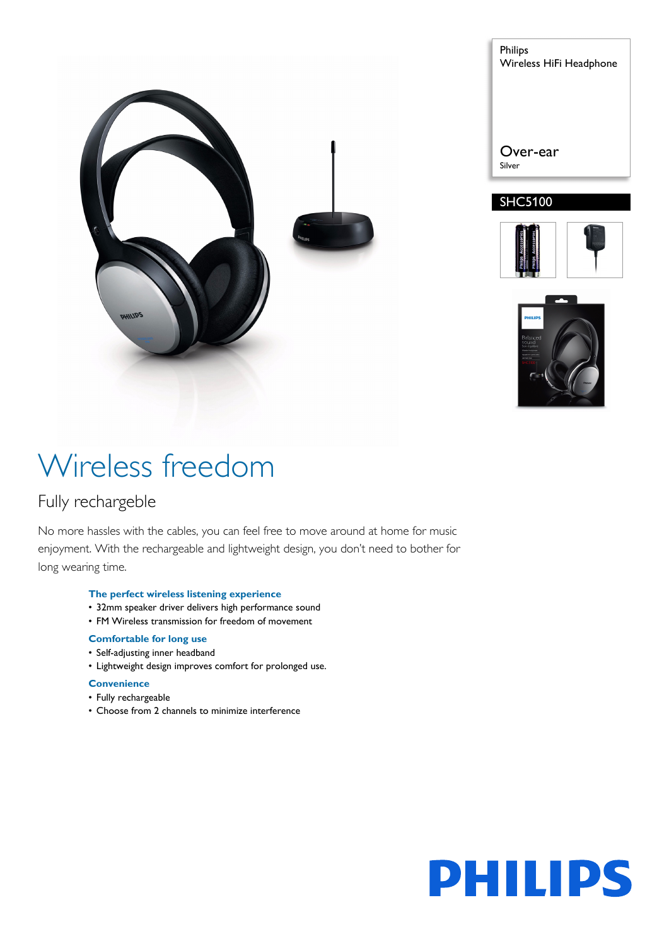

Philips Wireless HiFi Headphone Over-ear Silver







# Wireless freedom

### Fully rechargeble

No more hassles with the cables, you can feel free to move around at home for music enjoyment. With the rechargeable and lightweight design, you don't need to bother for long wearing time.

#### **The perfect wireless listening experience**

- 32mm speaker driver delivers high performance sound
- FM Wireless transmission for freedom of movement

#### **Comfortable for long use**

- Self-adjusting inner headband
- Lightweight design improves comfort for prolonged use.

#### **Convenience**

- Fully rechargeable
- Choose from 2 channels to minimize interference